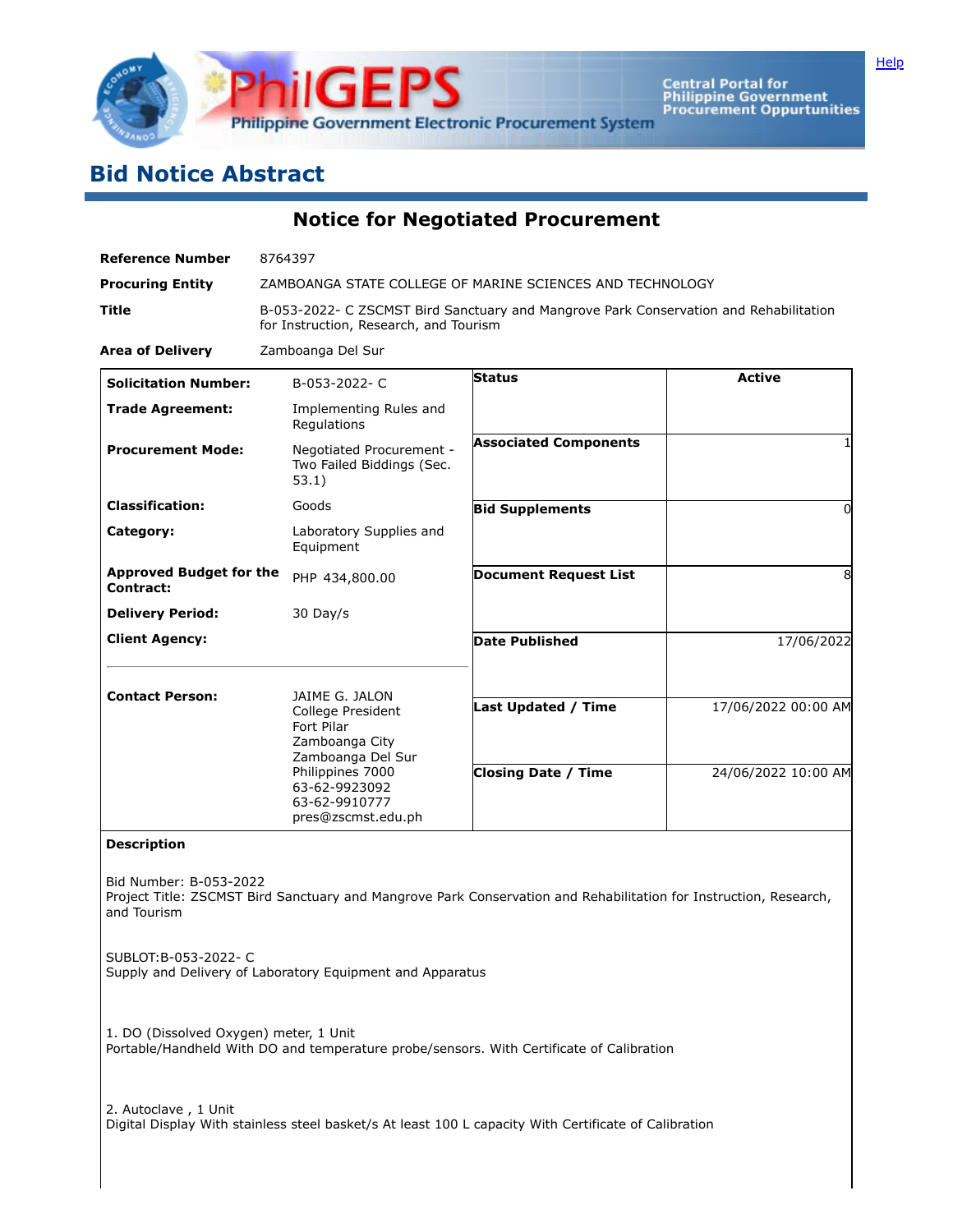

Central Portal for<br>Philippine Government<br>Procurement Oppurtunities

**[Help](javascript:void(window.open()** 

## **Bid Notice Abstract**

**Notice for Negotiated Procurement**

| <b>Reference Number</b>                                                                                                                                    | 8764397                                                                                                                         |  |                              |                     |  |  |
|------------------------------------------------------------------------------------------------------------------------------------------------------------|---------------------------------------------------------------------------------------------------------------------------------|--|------------------------------|---------------------|--|--|
| <b>Procuring Entity</b>                                                                                                                                    | ZAMBOANGA STATE COLLEGE OF MARINE SCIENCES AND TECHNOLOGY                                                                       |  |                              |                     |  |  |
| Title                                                                                                                                                      | B-053-2022- C ZSCMST Bird Sanctuary and Mangrove Park Conservation and Rehabilitation<br>for Instruction, Research, and Tourism |  |                              |                     |  |  |
| <b>Area of Delivery</b>                                                                                                                                    | Zamboanga Del Sur                                                                                                               |  |                              |                     |  |  |
| <b>Solicitation Number:</b>                                                                                                                                | B-053-2022-C                                                                                                                    |  | Status                       | <b>Active</b>       |  |  |
| <b>Trade Agreement:</b>                                                                                                                                    | Implementing Rules and<br>Regulations                                                                                           |  |                              |                     |  |  |
| <b>Procurement Mode:</b>                                                                                                                                   | Negotiated Procurement -<br>Two Failed Biddings (Sec.<br>53.1)                                                                  |  | <b>Associated Components</b> |                     |  |  |
| <b>Classification:</b>                                                                                                                                     | Goods                                                                                                                           |  | <b>Bid Supplements</b>       | 0                   |  |  |
| Category:                                                                                                                                                  | Laboratory Supplies and<br>Equipment                                                                                            |  |                              |                     |  |  |
| <b>Approved Budget for the</b><br><b>Contract:</b>                                                                                                         | PHP 434,800.00                                                                                                                  |  | <b>Document Request List</b> | 8                   |  |  |
| <b>Delivery Period:</b>                                                                                                                                    | 30 Day/s                                                                                                                        |  |                              |                     |  |  |
| <b>Client Agency:</b>                                                                                                                                      |                                                                                                                                 |  | <b>Date Published</b>        | 17/06/2022          |  |  |
|                                                                                                                                                            |                                                                                                                                 |  |                              |                     |  |  |
| <b>Contact Person:</b>                                                                                                                                     | JAIME G. JALON<br>College President<br>Fort Pilar<br>Zamboanga City<br>Zamboanga Del Sur                                        |  | <b>Last Updated / Time</b>   | 17/06/2022 00:00 AM |  |  |
| Philippines 7000<br>63-62-9923092<br>63-62-9910777<br>pres@zscmst.edu.ph                                                                                   |                                                                                                                                 |  | <b>Closing Date / Time</b>   | 24/06/2022 10:00 AM |  |  |
| <b>Description</b>                                                                                                                                         |                                                                                                                                 |  |                              |                     |  |  |
| Bid Number: B-053-2022<br>Project Title: ZSCMST Bird Sanctuary and Mangrove Park Conservation and Rehabilitation for Instruction, Research,<br>and Tourism |                                                                                                                                 |  |                              |                     |  |  |
| SUBLOT: B-053-2022- C<br>Supply and Delivery of Laboratory Equipment and Apparatus                                                                         |                                                                                                                                 |  |                              |                     |  |  |
| 1. DO (Dissolved Oxygen) meter, 1 Unit<br>Portable/Handheld With DO and temperature probe/sensors. With Certificate of Calibration                         |                                                                                                                                 |  |                              |                     |  |  |
| 2. Autoclave, 1 Unit<br>Digital Display With stainless steel basket/s At least 100 L capacity With Certificate of Calibration                              |                                                                                                                                 |  |                              |                     |  |  |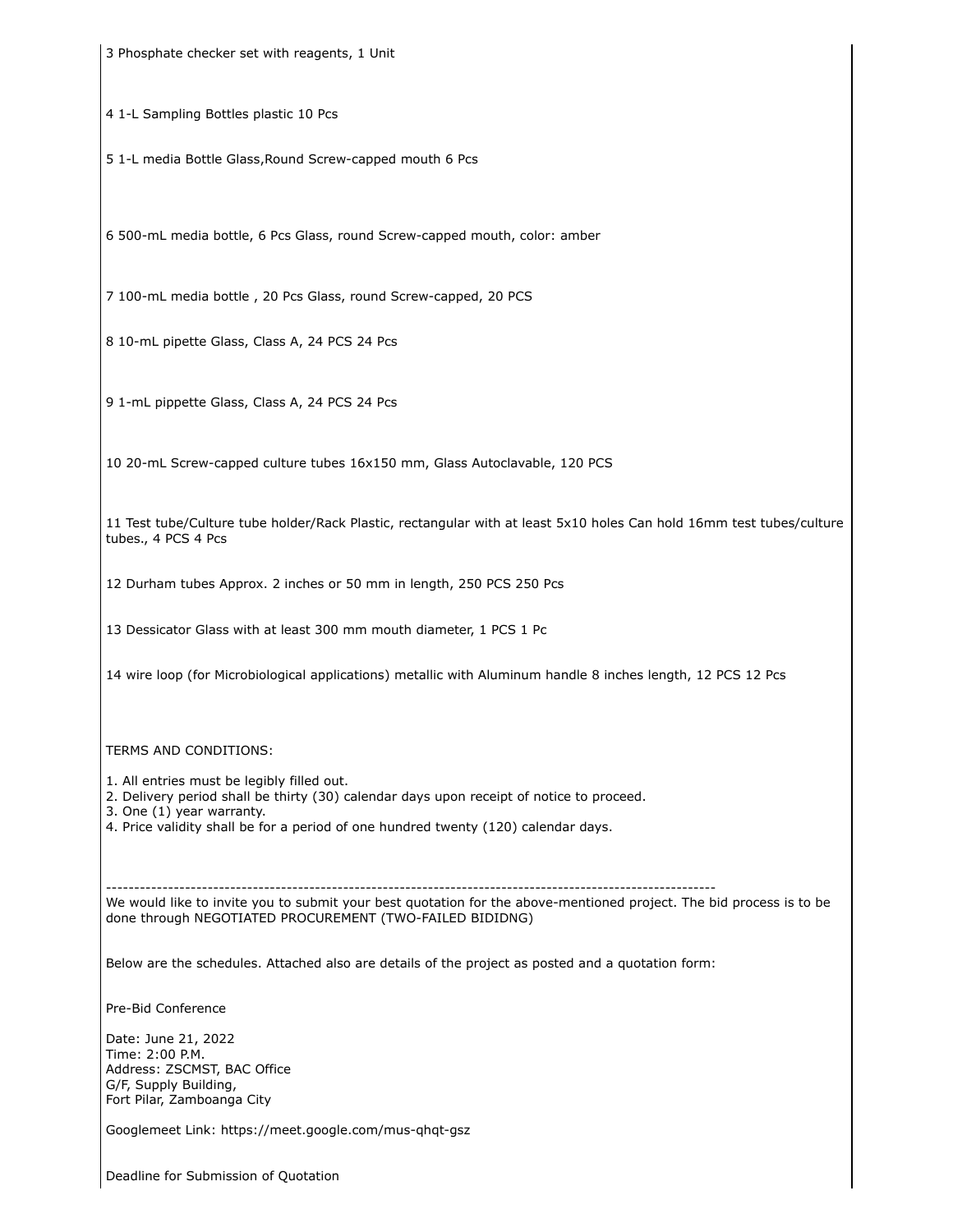3 Phosphate checker set with reagents, 1 Unit

4 1-L Sampling Bottles plastic 10 Pcs

5 1-L media Bottle Glass,Round Screw-capped mouth 6 Pcs

6 500-mL media bottle, 6 Pcs Glass, round Screw-capped mouth, color: amber

7 100-mL media bottle , 20 Pcs Glass, round Screw-capped, 20 PCS

8 10-mL pipette Glass, Class A, 24 PCS 24 Pcs

9 1-mL pippette Glass, Class A, 24 PCS 24 Pcs

10 20-mL Screw-capped culture tubes 16x150 mm, Glass Autoclavable, 120 PCS

11 Test tube/Culture tube holder/Rack Plastic, rectangular with at least 5x10 holes Can hold 16mm test tubes/culture tubes., 4 PCS 4 Pcs

12 Durham tubes Approx. 2 inches or 50 mm in length, 250 PCS 250 Pcs

13 Dessicator Glass with at least 300 mm mouth diameter, 1 PCS 1 Pc

14 wire loop (for Microbiological applications) metallic with Aluminum handle 8 inches length, 12 PCS 12 Pcs

TERMS AND CONDITIONS:

1. All entries must be legibly filled out.

2. Delivery period shall be thirty (30) calendar days upon receipt of notice to proceed.

3. One (1) year warranty.

4. Price validity shall be for a period of one hundred twenty (120) calendar days.

------------------------------------------------------------------------------------------------------------

We would like to invite you to submit your best quotation for the above-mentioned project. The bid process is to be done through NEGOTIATED PROCUREMENT (TWO-FAILED BIDIDNG)

Below are the schedules. Attached also are details of the project as posted and a quotation form:

Pre-Bid Conference

Date: June 21, 2022 Time: 2:00 P.M. Address: ZSCMST, BAC Office G/F, Supply Building, Fort Pilar, Zamboanga City

Googlemeet Link: https://meet.google.com/mus-qhqt-gsz

Deadline for Submission of Quotation